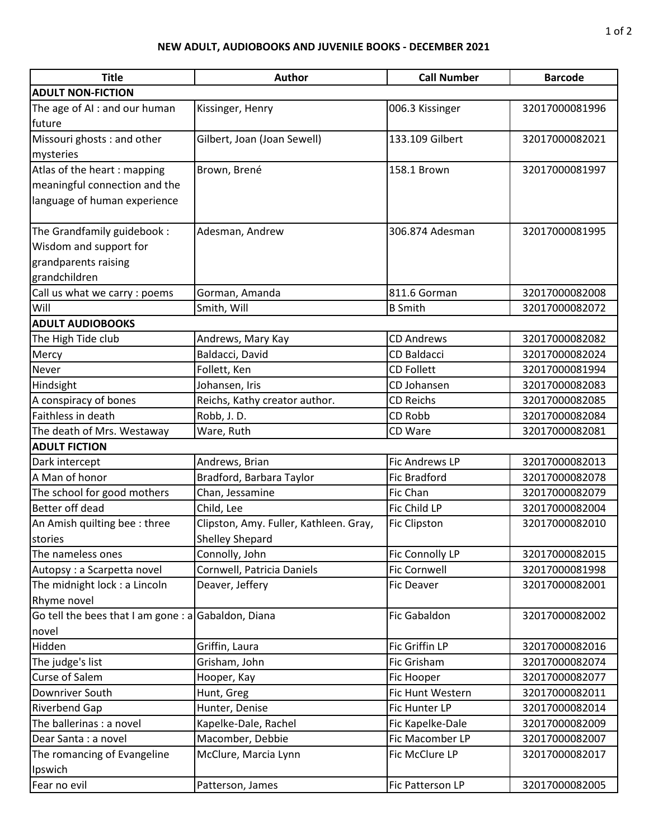## **NEW ADULT, AUDIOBOOKS AND JUVENILE BOOKS - DECEMBER 2021**

| <b>Title</b>                                        | <b>Author</b>                          | <b>Call Number</b>    | <b>Barcode</b> |  |
|-----------------------------------------------------|----------------------------------------|-----------------------|----------------|--|
| <b>ADULT NON-FICTION</b>                            |                                        |                       |                |  |
| The age of AI : and our human                       | Kissinger, Henry                       | 006.3 Kissinger       | 32017000081996 |  |
| future                                              |                                        |                       |                |  |
| Missouri ghosts: and other                          | Gilbert, Joan (Joan Sewell)            | 133.109 Gilbert       | 32017000082021 |  |
| mysteries                                           |                                        |                       |                |  |
| Atlas of the heart: mapping                         | Brown, Brené                           | 158.1 Brown           | 32017000081997 |  |
| meaningful connection and the                       |                                        |                       |                |  |
| language of human experience                        |                                        |                       |                |  |
|                                                     |                                        |                       |                |  |
| The Grandfamily guidebook:                          | Adesman, Andrew                        | 306.874 Adesman       | 32017000081995 |  |
| Wisdom and support for                              |                                        |                       |                |  |
| grandparents raising                                |                                        |                       |                |  |
| grandchildren                                       |                                        |                       |                |  |
| Call us what we carry : poems                       | Gorman, Amanda                         | 811.6 Gorman          | 32017000082008 |  |
| Will                                                | Smith, Will                            | <b>B</b> Smith        | 32017000082072 |  |
| <b>ADULT AUDIOBOOKS</b>                             |                                        |                       |                |  |
| The High Tide club                                  | Andrews, Mary Kay                      | <b>CD Andrews</b>     | 32017000082082 |  |
| Mercy                                               | Baldacci, David                        | <b>CD Baldacci</b>    | 32017000082024 |  |
| Never                                               | Follett, Ken                           | <b>CD Follett</b>     | 32017000081994 |  |
| Hindsight                                           | Johansen, Iris                         | CD Johansen           | 32017000082083 |  |
| A conspiracy of bones                               | Reichs, Kathy creator author.          | <b>CD Reichs</b>      | 32017000082085 |  |
| Faithless in death                                  | Robb, J.D.                             | CD Robb               | 32017000082084 |  |
| The death of Mrs. Westaway                          | Ware, Ruth                             | CD Ware               | 32017000082081 |  |
| <b>ADULT FICTION</b>                                |                                        |                       |                |  |
| Dark intercept                                      | Andrews, Brian                         | <b>Fic Andrews LP</b> | 32017000082013 |  |
| A Man of honor                                      | Bradford, Barbara Taylor               | <b>Fic Bradford</b>   | 32017000082078 |  |
| The school for good mothers                         | Chan, Jessamine                        | Fic Chan              | 32017000082079 |  |
| Better off dead                                     | Child, Lee                             | Fic Child LP          | 32017000082004 |  |
| An Amish quilting bee: three                        | Clipston, Amy. Fuller, Kathleen. Gray, | <b>Fic Clipston</b>   | 32017000082010 |  |
| stories                                             | <b>Shelley Shepard</b>                 |                       |                |  |
| The nameless ones                                   | Connolly, John                         | Fic Connolly LP       | 32017000082015 |  |
| Autopsy: a Scarpetta novel                          | Cornwell, Patricia Daniels             | <b>Fic Cornwell</b>   | 32017000081998 |  |
| The midnight lock : a Lincoln                       | Deaver, Jeffery                        | Fic Deaver            | 32017000082001 |  |
| Rhyme novel                                         |                                        |                       |                |  |
| Go tell the bees that I am gone : a Gabaldon, Diana |                                        | Fic Gabaldon          | 32017000082002 |  |
| novel                                               |                                        |                       |                |  |
| Hidden                                              | Griffin, Laura                         | Fic Griffin LP        | 32017000082016 |  |
| The judge's list                                    | Grisham, John                          | Fic Grisham           | 32017000082074 |  |
| Curse of Salem                                      | Hooper, Kay                            | Fic Hooper            | 32017000082077 |  |
| Downriver South                                     | Hunt, Greg                             | Fic Hunt Western      | 32017000082011 |  |
| Riverbend Gap                                       | Hunter, Denise                         | Fic Hunter LP         | 32017000082014 |  |
| The ballerinas : a novel                            | Kapelke-Dale, Rachel                   | Fic Kapelke-Dale      | 32017000082009 |  |
| Dear Santa : a novel                                | Macomber, Debbie                       | Fic Macomber LP       | 32017000082007 |  |
| The romancing of Evangeline                         | McClure, Marcia Lynn                   | Fic McClure LP        | 32017000082017 |  |
| Ipswich                                             |                                        |                       |                |  |
| Fear no evil                                        | Patterson, James                       | Fic Patterson LP      | 32017000082005 |  |